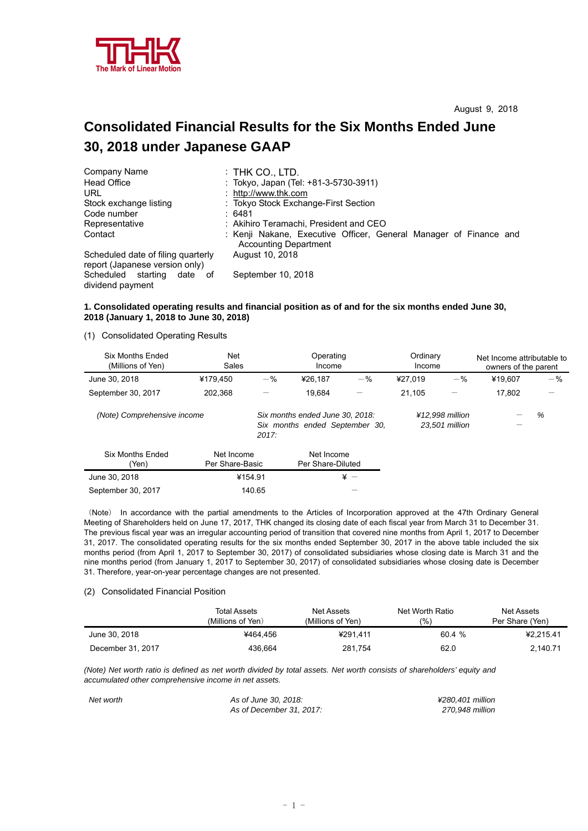

# **Consolidated Financial Results for the Six Months Ended June 30, 2018 under Japanese GAAP**

| Company Name                                                         | $:$ THK CO., LTD.                                                                                 |
|----------------------------------------------------------------------|---------------------------------------------------------------------------------------------------|
| <b>Head Office</b>                                                   | : Tokyo, Japan (Tel: +81-3-5730-3911)                                                             |
| URL                                                                  | : http://www.thk.com                                                                              |
| Stock exchange listing                                               | : Tokyo Stock Exchange-First Section                                                              |
| Code number                                                          | :6481                                                                                             |
| Representative                                                       | : Akihiro Teramachi, President and CEO                                                            |
| Contact                                                              | : Kenji Nakane, Executive Officer, General Manager of Finance and<br><b>Accounting Department</b> |
| Scheduled date of filing quarterly<br>report (Japanese version only) | August 10, 2018                                                                                   |
| Scheduled starting date of<br>dividend payment                       | September 10, 2018                                                                                |

## **1. Consolidated operating results and financial position as of and for the six months ended June 30, 2018 (January 1, 2018 to June 30, 2018)**

(1) Consolidated Operating Results

| Six Months Ended<br>(Millions of Yen) | <b>Net</b><br>Sales           |         | Operating<br>Income                                               |                          | Ordinary<br>Income |                                   | Net Income attributable to<br>owners of the parent |       |
|---------------------------------------|-------------------------------|---------|-------------------------------------------------------------------|--------------------------|--------------------|-----------------------------------|----------------------------------------------------|-------|
| June 30, 2018                         | ¥179.450                      | $-$ %   | ¥26.187                                                           | $-$ %                    | ¥27.019            | $-$ %                             | ¥19.607                                            | $-$ % |
| September 30, 2017                    | 202.368                       |         | 19.684                                                            | $\overline{\phantom{0}}$ | 21.105             |                                   | 17,802                                             | —     |
| (Note) Comprehensive income           |                               | 2017:   | Six months ended June 30, 2018:<br>Six months ended September 30, |                          |                    | ¥12.998 million<br>23,501 million |                                                    | %     |
| <b>Six Months Ended</b><br>(Yen)      | Net Income<br>Per Share-Basic |         | Net Income<br>Per Share-Diluted                                   |                          |                    |                                   |                                                    |       |
| June 30, 2018                         |                               | ¥154.91 |                                                                   | $\angle$ +               |                    |                                   |                                                    |       |
| September 30, 2017                    |                               | 140.65  |                                                                   |                          |                    |                                   |                                                    |       |

(Note) In accordance with the partial amendments to the Articles of Incorporation approved at the 47th Ordinary General Meeting of Shareholders held on June 17, 2017, THK changed its closing date of each fiscal year from March 31 to December 31. The previous fiscal year was an irregular accounting period of transition that covered nine months from April 1, 2017 to December 31, 2017. The consolidated operating results for the six months ended September 30, 2017 in the above table included the six months period (from April 1, 2017 to September 30, 2017) of consolidated subsidiaries whose closing date is March 31 and the nine months period (from January 1, 2017 to September 30, 2017) of consolidated subsidiaries whose closing date is December 31. Therefore, year-on-year percentage changes are not presented.

#### (2) Consolidated Financial Position

|                   | Total Assets<br>(Millions of Yen) | Net Assets<br>(Millions of Yen) | Net Worth Ratio<br>(9/0) | Net Assets<br>Per Share (Yen) |
|-------------------|-----------------------------------|---------------------------------|--------------------------|-------------------------------|
| June 30, 2018     | ¥464.456                          | ¥291.411                        | 60.4%                    | ¥2.215.41                     |
| December 31, 2017 | 436.664                           | 281.754                         | 62.0                     | 2,140.71                      |

*(Note) Net worth ratio is defined as net worth divided by total assets. Net worth consists of shareholders' equity and accumulated other comprehensive income in net assets.* 

*Net worth As of June 30, 2018: ¥280,401 million As of December 31, 2017: 270,948 million*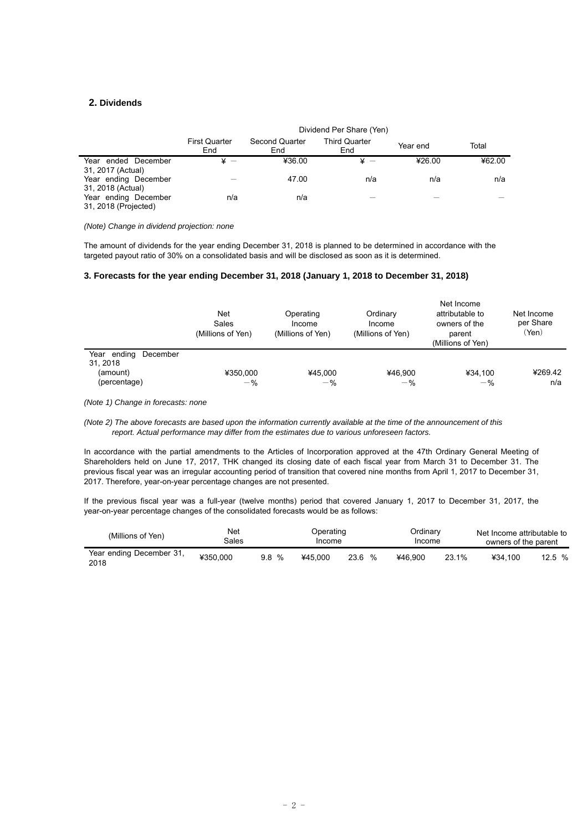## **2. Dividends**

|                                              | Dividend Per Share (Yen)    |                       |                             |          |        |  |
|----------------------------------------------|-----------------------------|-----------------------|-----------------------------|----------|--------|--|
|                                              | <b>First Quarter</b><br>End | Second Quarter<br>End | <b>Third Quarter</b><br>End | Year end | Total  |  |
| Year ended December<br>31, 2017 (Actual)     | $\mathbf{x}$ $-$            | ¥36.00                | ¥                           | ¥26.00   | ¥62.00 |  |
| Year ending December<br>31, 2018 (Actual)    |                             | 47.00                 | n/a                         | n/a      | n/a    |  |
| Year ending December<br>31, 2018 (Projected) | n/a                         | n/a                   |                             |          |        |  |

#### *(Note) Change in dividend projection: none*

The amount of dividends for the year ending December 31, 2018 is planned to be determined in accordance with the targeted payout ratio of 30% on a consolidated basis and will be disclosed as soon as it is determined.

### **3. Forecasts for the year ending December 31, 2018 (January 1, 2018 to December 31, 2018)**

|                                                                | Net<br>Sales<br>(Millions of Yen) | Operating<br>Income<br>(Millions of Yen) | Ordinary<br>Income<br>(Millions of Yen) | Net Income<br>attributable to<br>owners of the<br>parent<br>(Millions of Yen) | Net Income<br>per Share<br>(Yen) |
|----------------------------------------------------------------|-----------------------------------|------------------------------------------|-----------------------------------------|-------------------------------------------------------------------------------|----------------------------------|
| Year ending<br>December<br>31.2018<br>(amount)<br>(percentage) | ¥350,000<br>$-$ %                 | ¥45.000<br>$-$ %                         | ¥46.900<br>$-$ %                        | ¥34.100<br>$-$ %                                                              | ¥269.42<br>n/a                   |

*(Note 1) Change in forecasts: none* 

*(Note 2) The above forecasts are based upon the information currently available at the time of the announcement of this report. Actual performance may differ from the estimates due to various unforeseen factors.* 

In accordance with the partial amendments to the Articles of Incorporation approved at the 47th Ordinary General Meeting of Shareholders held on June 17, 2017, THK changed its closing date of each fiscal year from March 31 to December 31. The previous fiscal year was an irregular accounting period of transition that covered nine months from April 1, 2017 to December 31, 2017. Therefore, year-on-year percentage changes are not presented.

If the previous fiscal year was a full-year (twelve months) period that covered January 1, 2017 to December 31, 2017, the year-on-year percentage changes of the consolidated forecasts would be as follows:

| (Millions of Yen)                | Net<br>Sales |      | Operating<br><b>Income</b> |                       | Ordinary<br>Income |       | Net Income attributable to<br>owners of the parent |       |
|----------------------------------|--------------|------|----------------------------|-----------------------|--------------------|-------|----------------------------------------------------|-------|
| Year ending December 31,<br>2018 | ¥350.000     | 9.8% | ¥45.000                    | $\frac{1}{2}$<br>23.6 | ¥46.900            | 23.1% | ¥34.100                                            | 12.5% |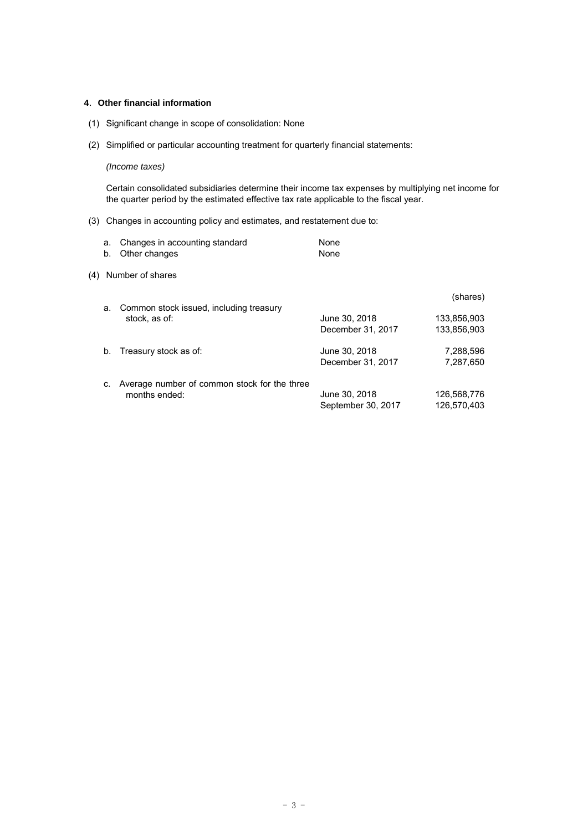## **4**.**Other financial information**

- (1) Significant change in scope of consolidation: None
- (2) Simplified or particular accounting treatment for quarterly financial statements:

# *(Income taxes)*

Certain consolidated subsidiaries determine their income tax expenses by multiplying net income for the quarter period by the estimated effective tax rate applicable to the fiscal year.

# (3) Changes in accounting policy and estimates, and restatement due to:

|     | а.<br>b. | Changes in accounting standard<br>Other changes               | None<br>None                        |                            |
|-----|----------|---------------------------------------------------------------|-------------------------------------|----------------------------|
| (4) |          | Number of shares                                              |                                     |                            |
|     |          | Common stock issued, including treasury                       |                                     | (shares)                   |
|     |          | a.<br>stock, as of:                                           | June 30, 2018<br>December 31, 2017  | 133,856,903<br>133.856.903 |
|     | b.       | Treasury stock as of:                                         | June 30, 2018                       | 7,288,596                  |
|     |          |                                                               | December 31, 2017                   | 7.287.650                  |
|     | C.       | Average number of common stock for the three<br>months ended: | June 30, 2018<br>September 30, 2017 | 126,568,776<br>126,570,403 |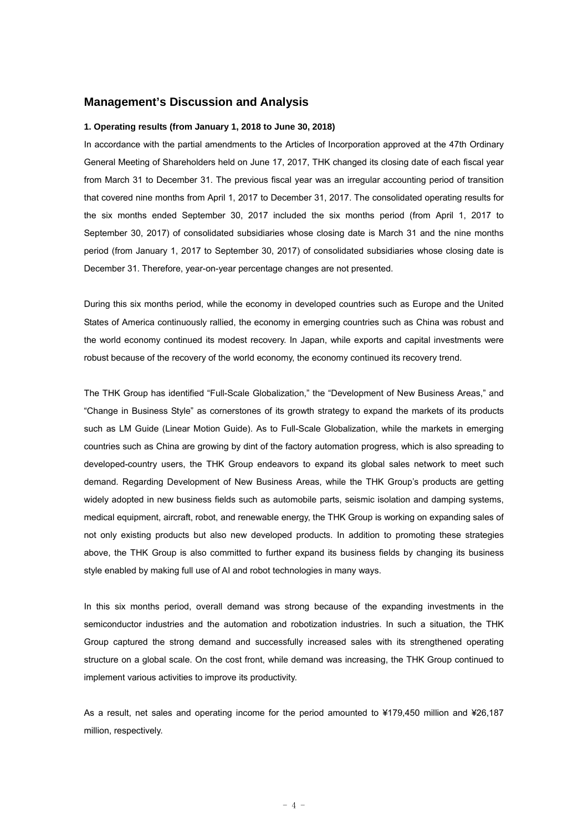# **Management's Discussion and Analysis**

#### **1. Operating results (from January 1, 2018 to June 30, 2018)**

In accordance with the partial amendments to the Articles of Incorporation approved at the 47th Ordinary General Meeting of Shareholders held on June 17, 2017, THK changed its closing date of each fiscal year from March 31 to December 31. The previous fiscal year was an irregular accounting period of transition that covered nine months from April 1, 2017 to December 31, 2017. The consolidated operating results for the six months ended September 30, 2017 included the six months period (from April 1, 2017 to September 30, 2017) of consolidated subsidiaries whose closing date is March 31 and the nine months period (from January 1, 2017 to September 30, 2017) of consolidated subsidiaries whose closing date is December 31. Therefore, year-on-year percentage changes are not presented.

During this six months period, while the economy in developed countries such as Europe and the United States of America continuously rallied, the economy in emerging countries such as China was robust and the world economy continued its modest recovery. In Japan, while exports and capital investments were robust because of the recovery of the world economy, the economy continued its recovery trend.

The THK Group has identified "Full-Scale Globalization," the "Development of New Business Areas," and "Change in Business Style" as cornerstones of its growth strategy to expand the markets of its products such as LM Guide (Linear Motion Guide). As to Full-Scale Globalization, while the markets in emerging countries such as China are growing by dint of the factory automation progress, which is also spreading to developed-country users, the THK Group endeavors to expand its global sales network to meet such demand. Regarding Development of New Business Areas, while the THK Group's products are getting widely adopted in new business fields such as automobile parts, seismic isolation and damping systems, medical equipment, aircraft, robot, and renewable energy, the THK Group is working on expanding sales of not only existing products but also new developed products. In addition to promoting these strategies above, the THK Group is also committed to further expand its business fields by changing its business style enabled by making full use of AI and robot technologies in many ways.

In this six months period, overall demand was strong because of the expanding investments in the semiconductor industries and the automation and robotization industries. In such a situation, the THK Group captured the strong demand and successfully increased sales with its strengthened operating structure on a global scale. On the cost front, while demand was increasing, the THK Group continued to implement various activities to improve its productivity.

As a result, net sales and operating income for the period amounted to ¥179,450 million and ¥26,187 million, respectively.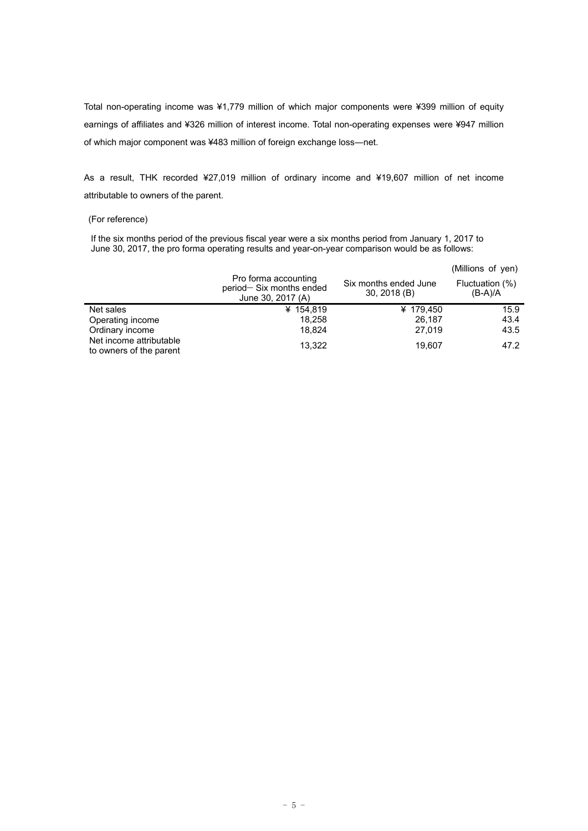Total non-operating income was ¥1,779 million of which major components were ¥399 million of equity earnings of affiliates and ¥326 million of interest income. Total non-operating expenses were ¥947 million of which major component was ¥483 million of foreign exchange loss―net.

As a result, THK recorded ¥27,019 million of ordinary income and ¥19,607 million of net income attributable to owners of the parent.

## (For reference)

If the six months period of the previous fiscal year were a six months period from January 1, 2017 to June 30, 2017, the pro forma operating results and year-on-year comparison would be as follows:

|                                                    | Pro forma accounting<br>period-Six months ended<br>June 30, 2017 (A) | Six months ended June<br>$30, 2018$ (B) | (Millions of yen)<br>Fluctuation (%)<br>$(B-A)/A$ |
|----------------------------------------------------|----------------------------------------------------------------------|-----------------------------------------|---------------------------------------------------|
| Net sales                                          | ¥ 154,819                                                            | ¥ 179,450                               | 15.9                                              |
| Operating income                                   | 18.258                                                               | 26.187                                  | 43.4                                              |
| Ordinary income                                    | 18.824                                                               | 27,019                                  | 43.5                                              |
| Net income attributable<br>to owners of the parent | 13.322                                                               | 19.607                                  | 47.2                                              |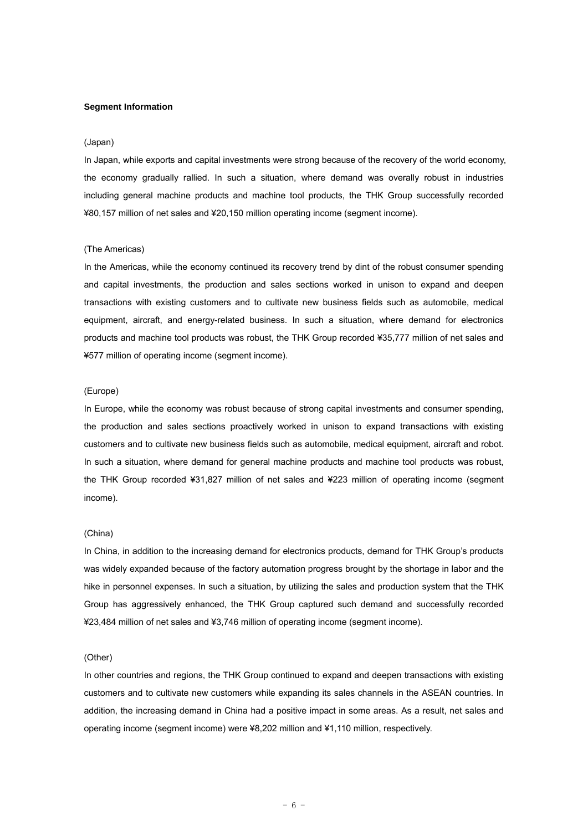#### **Segment Information**

#### (Japan)

In Japan, while exports and capital investments were strong because of the recovery of the world economy, the economy gradually rallied. In such a situation, where demand was overally robust in industries including general machine products and machine tool products, the THK Group successfully recorded ¥80,157 million of net sales and ¥20,150 million operating income (segment income).

#### (The Americas)

In the Americas, while the economy continued its recovery trend by dint of the robust consumer spending and capital investments, the production and sales sections worked in unison to expand and deepen transactions with existing customers and to cultivate new business fields such as automobile, medical equipment, aircraft, and energy-related business. In such a situation, where demand for electronics products and machine tool products was robust, the THK Group recorded ¥35,777 million of net sales and ¥577 million of operating income (segment income).

### (Europe)

In Europe, while the economy was robust because of strong capital investments and consumer spending, the production and sales sections proactively worked in unison to expand transactions with existing customers and to cultivate new business fields such as automobile, medical equipment, aircraft and robot. In such a situation, where demand for general machine products and machine tool products was robust, the THK Group recorded ¥31,827 million of net sales and ¥223 million of operating income (segment income).

#### (China)

In China, in addition to the increasing demand for electronics products, demand for THK Group's products was widely expanded because of the factory automation progress brought by the shortage in labor and the hike in personnel expenses. In such a situation, by utilizing the sales and production system that the THK Group has aggressively enhanced, the THK Group captured such demand and successfully recorded ¥23,484 million of net sales and ¥3,746 million of operating income (segment income).

#### (Other)

In other countries and regions, the THK Group continued to expand and deepen transactions with existing customers and to cultivate new customers while expanding its sales channels in the ASEAN countries. In addition, the increasing demand in China had a positive impact in some areas. As a result, net sales and operating income (segment income) were ¥8,202 million and ¥1,110 million, respectively.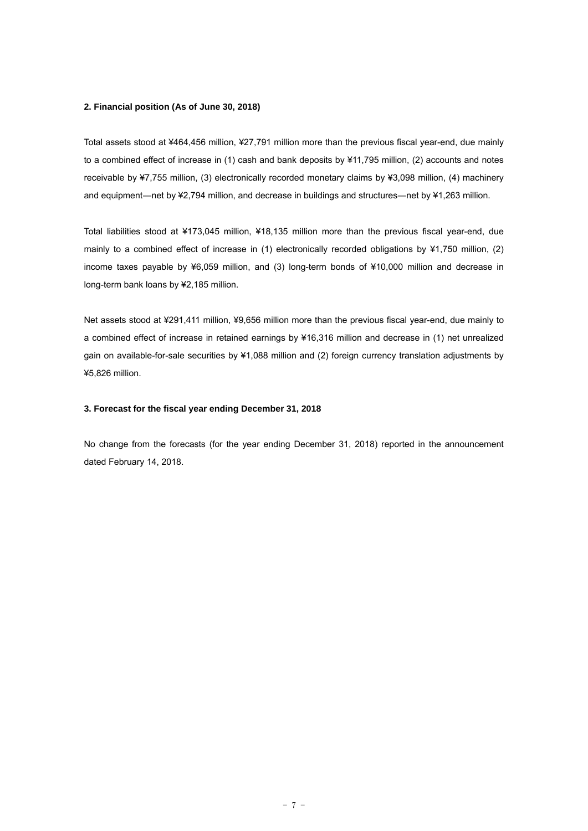#### **2. Financial position (As of June 30, 2018)**

Total assets stood at ¥464,456 million, ¥27,791 million more than the previous fiscal year-end, due mainly to a combined effect of increase in (1) cash and bank deposits by ¥11,795 million, (2) accounts and notes receivable by ¥7,755 million, (3) electronically recorded monetary claims by ¥3,098 million, (4) machinery and equipment—net by ¥2,794 million, and decrease in buildings and structures—net by ¥1,263 million.

Total liabilities stood at ¥173,045 million, ¥18,135 million more than the previous fiscal year-end, due mainly to a combined effect of increase in (1) electronically recorded obligations by ¥1,750 million, (2) income taxes payable by ¥6,059 million, and (3) long-term bonds of ¥10,000 million and decrease in long-term bank loans by ¥2,185 million.

Net assets stood at ¥291,411 million, ¥9,656 million more than the previous fiscal year-end, due mainly to a combined effect of increase in retained earnings by ¥16,316 million and decrease in (1) net unrealized gain on available-for-sale securities by ¥1,088 million and (2) foreign currency translation adjustments by ¥5,826 million.

## **3. Forecast for the fiscal year ending December 31, 2018**

No change from the forecasts (for the year ending December 31, 2018) reported in the announcement dated February 14, 2018.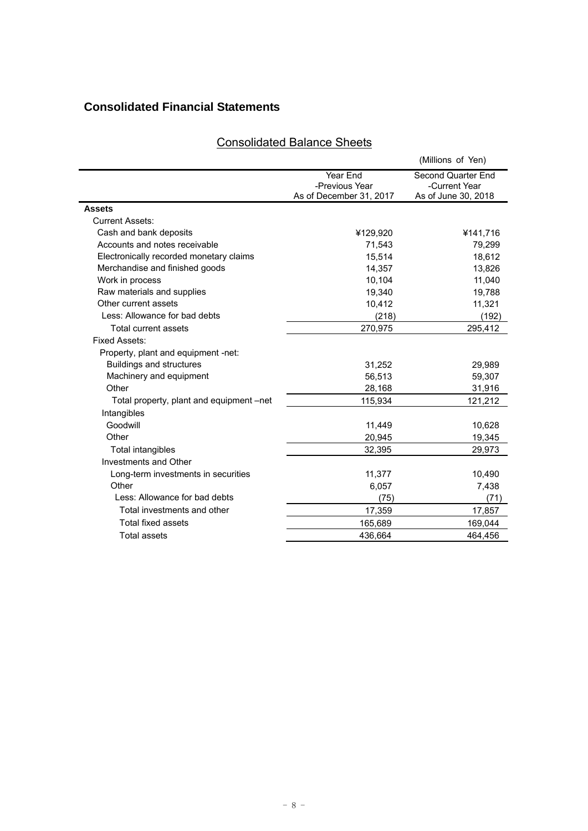# **Consolidated Financial Statements**

# Consolidated Balance Sheets

|                                          |                            | (Millions of Yen)                   |
|------------------------------------------|----------------------------|-------------------------------------|
|                                          | Year End<br>-Previous Year | Second Quarter End<br>-Current Year |
|                                          | As of December 31, 2017    | As of June 30, 2018                 |
| <b>Assets</b>                            |                            |                                     |
| <b>Current Assets:</b>                   |                            |                                     |
| Cash and bank deposits                   | ¥129,920                   | ¥141,716                            |
| Accounts and notes receivable            | 71,543                     | 79,299                              |
| Electronically recorded monetary claims  | 15,514                     | 18,612                              |
| Merchandise and finished goods           | 14,357                     | 13,826                              |
| Work in process                          | 10,104                     | 11,040                              |
| Raw materials and supplies               | 19,340                     | 19,788                              |
| Other current assets                     | 10,412                     | 11,321                              |
| Less: Allowance for bad debts            | (218)                      | (192)                               |
| Total current assets                     | 270,975                    | 295,412                             |
| Fixed Assets:                            |                            |                                     |
| Property, plant and equipment -net:      |                            |                                     |
| <b>Buildings and structures</b>          | 31,252                     | 29,989                              |
| Machinery and equipment                  | 56,513                     | 59,307                              |
| Other                                    | 28,168                     | 31,916                              |
| Total property, plant and equipment –net | 115,934                    | 121,212                             |
| Intangibles                              |                            |                                     |
| Goodwill                                 | 11,449                     | 10,628                              |
| Other                                    | 20,945                     | 19,345                              |
| Total intangibles                        | 32,395                     | 29,973                              |
| Investments and Other                    |                            |                                     |
| Long-term investments in securities      | 11,377                     | 10,490                              |
| Other                                    | 6,057                      | 7,438                               |
| Less: Allowance for bad debts            | (75)                       | (71)                                |
| Total investments and other              | 17,359                     | 17,857                              |
| <b>Total fixed assets</b>                | 165,689                    | 169,044                             |
| <b>Total assets</b>                      | 436.664                    | 464,456                             |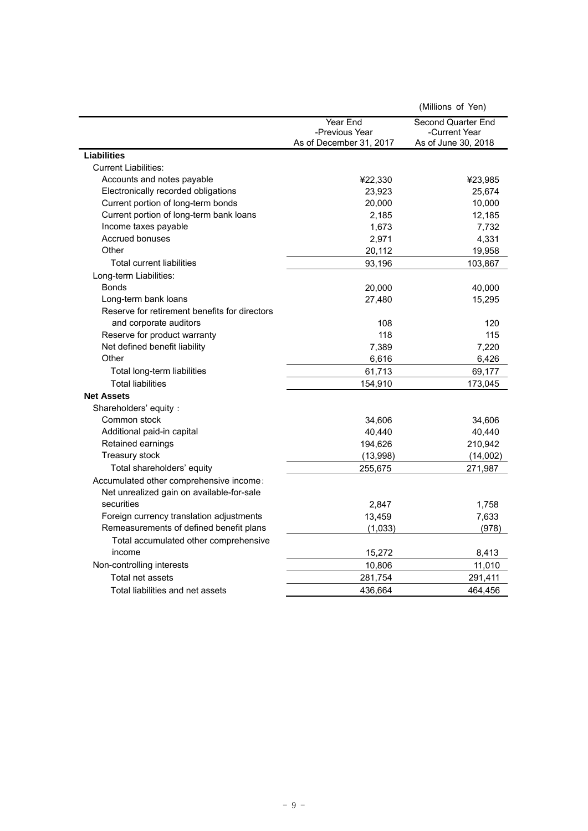|                                               |                                           | (Millions of Yen)                    |
|-----------------------------------------------|-------------------------------------------|--------------------------------------|
|                                               | Year End                                  | Second Quarter End                   |
|                                               | -Previous Year<br>As of December 31, 2017 | -Current Year<br>As of June 30, 2018 |
| <b>Liabilities</b>                            |                                           |                                      |
| <b>Current Liabilities:</b>                   |                                           |                                      |
| Accounts and notes payable                    | ¥22,330                                   | ¥23,985                              |
| Electronically recorded obligations           | 23,923                                    | 25,674                               |
| Current portion of long-term bonds            | 20,000                                    | 10,000                               |
| Current portion of long-term bank loans       | 2,185                                     | 12,185                               |
| Income taxes payable                          | 1,673                                     | 7,732                                |
| <b>Accrued bonuses</b>                        | 2,971                                     | 4,331                                |
| Other                                         | 20,112                                    | 19,958                               |
| <b>Total current liabilities</b>              | 93,196                                    | 103,867                              |
| Long-term Liabilities:                        |                                           |                                      |
| <b>Bonds</b>                                  | 20,000                                    | 40,000                               |
| Long-term bank loans                          | 27,480                                    | 15,295                               |
| Reserve for retirement benefits for directors |                                           |                                      |
| and corporate auditors                        | 108                                       | 120                                  |
| Reserve for product warranty                  | 118                                       | 115                                  |
| Net defined benefit liability                 | 7,389                                     | 7,220                                |
| Other                                         | 6,616                                     | 6,426                                |
| Total long-term liabilities                   | 61,713                                    | 69,177                               |
| <b>Total liabilities</b>                      | 154,910                                   | 173,045                              |
| <b>Net Assets</b>                             |                                           |                                      |
| Shareholders' equity:                         |                                           |                                      |
| Common stock                                  | 34,606                                    | 34,606                               |
| Additional paid-in capital                    | 40,440                                    | 40,440                               |
| Retained earnings                             | 194,626                                   | 210,942                              |
| Treasury stock                                | (13,998)                                  | (14,002)                             |
| Total shareholders' equity                    | 255,675                                   | 271,987                              |
| Accumulated other comprehensive income:       |                                           |                                      |
| Net unrealized gain on available-for-sale     |                                           |                                      |
| securities                                    | 2,847                                     | 1,758                                |
| Foreign currency translation adjustments      | 13,459                                    | 7,633                                |
| Remeasurements of defined benefit plans       | (1,033)                                   | (978)                                |
| Total accumulated other comprehensive         |                                           |                                      |
| income                                        | 15,272                                    | 8,413                                |
| Non-controlling interests                     | 10,806                                    | 11,010                               |
| Total net assets                              | 281,754                                   | 291,411                              |
| Total liabilities and net assets              | 436,664                                   | 464,456                              |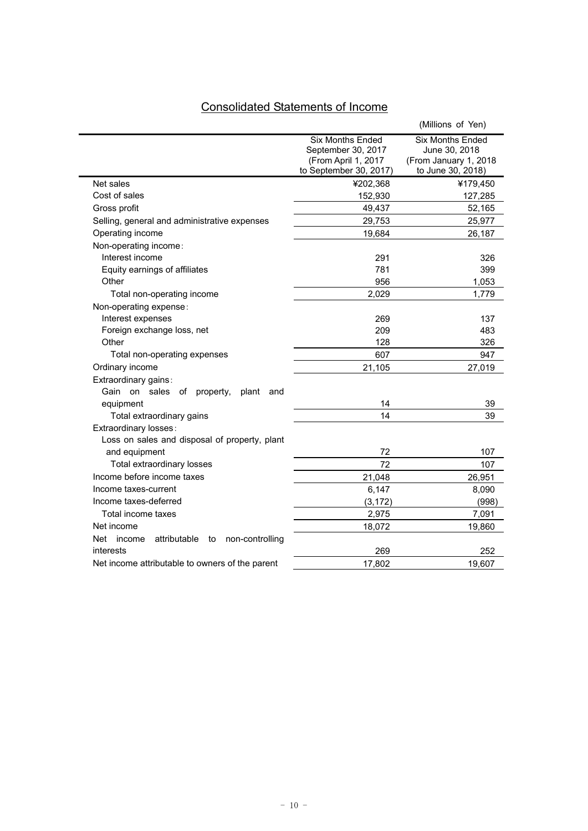# Consolidated Statements of Income

|                                                        |                                                                                                | (Millions of Yen)                                                                      |
|--------------------------------------------------------|------------------------------------------------------------------------------------------------|----------------------------------------------------------------------------------------|
|                                                        | <b>Six Months Ended</b><br>September 30, 2017<br>(From April 1, 2017<br>to September 30, 2017) | <b>Six Months Ended</b><br>June 30, 2018<br>(From January 1, 2018<br>to June 30, 2018) |
| Net sales                                              | ¥202,368                                                                                       | ¥179,450                                                                               |
| Cost of sales                                          | 152,930                                                                                        | 127,285                                                                                |
| Gross profit                                           | 49,437                                                                                         | 52,165                                                                                 |
| Selling, general and administrative expenses           | 29,753                                                                                         | 25,977                                                                                 |
| Operating income                                       | 19,684                                                                                         | 26,187                                                                                 |
| Non-operating income:                                  |                                                                                                |                                                                                        |
| Interest income                                        | 291                                                                                            | 326                                                                                    |
| Equity earnings of affiliates                          | 781                                                                                            | 399                                                                                    |
| Other                                                  | 956                                                                                            | 1,053                                                                                  |
| Total non-operating income                             | 2,029                                                                                          | 1,779                                                                                  |
| Non-operating expense:                                 |                                                                                                |                                                                                        |
| Interest expenses                                      | 269                                                                                            | 137                                                                                    |
| Foreign exchange loss, net                             | 209                                                                                            | 483                                                                                    |
| Other                                                  | 128                                                                                            | 326                                                                                    |
| Total non-operating expenses                           | 607                                                                                            | 947                                                                                    |
| Ordinary income                                        | 21,105                                                                                         | 27,019                                                                                 |
| Extraordinary gains:                                   |                                                                                                |                                                                                        |
| Gain on sales<br>оf<br>property,<br>plant<br>and       |                                                                                                |                                                                                        |
| equipment                                              | 14                                                                                             | 39                                                                                     |
| Total extraordinary gains                              | 14                                                                                             | 39                                                                                     |
| Extraordinary losses:                                  |                                                                                                |                                                                                        |
| Loss on sales and disposal of property, plant          |                                                                                                |                                                                                        |
| and equipment                                          | 72                                                                                             | 107                                                                                    |
| Total extraordinary losses                             | 72                                                                                             | 107                                                                                    |
| Income before income taxes                             | 21,048                                                                                         | 26,951                                                                                 |
| Income taxes-current                                   | 6,147                                                                                          | 8,090                                                                                  |
| Income taxes-deferred                                  | (3, 172)                                                                                       | (998)                                                                                  |
| Total income taxes                                     | 2,975                                                                                          | 7,091                                                                                  |
| Net income                                             | 18,072                                                                                         | 19,860                                                                                 |
| Net<br>attributable<br>income<br>non-controlling<br>to |                                                                                                |                                                                                        |
| interests                                              | 269                                                                                            | 252                                                                                    |
| Net income attributable to owners of the parent        | 17,802                                                                                         | 19,607                                                                                 |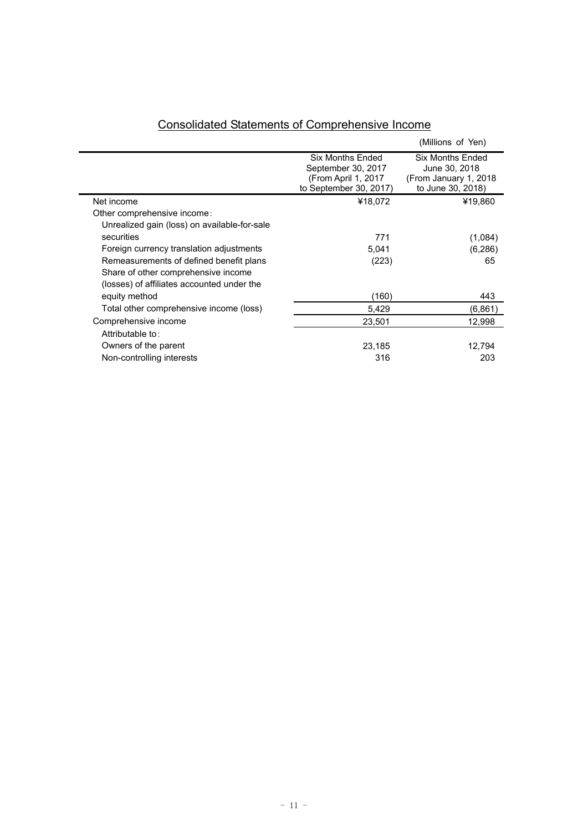|                                              |                                                                                         | (Millions of Yen)                                                                |
|----------------------------------------------|-----------------------------------------------------------------------------------------|----------------------------------------------------------------------------------|
|                                              | Six Months Ended<br>September 30, 2017<br>(From April 1, 2017<br>to September 30, 2017) | Six Months Ended<br>June 30, 2018<br>(From January 1, 2018)<br>to June 30, 2018) |
| Net income                                   | ¥18,072                                                                                 | ¥19,860                                                                          |
| Other comprehensive income:                  |                                                                                         |                                                                                  |
| Unrealized gain (loss) on available-for-sale |                                                                                         |                                                                                  |
| securities                                   | 771                                                                                     | (1,084)                                                                          |
| Foreign currency translation adjustments     | 5,041                                                                                   | (6,286)                                                                          |
| Remeasurements of defined benefit plans      | (223)                                                                                   | 65                                                                               |
| Share of other comprehensive income          |                                                                                         |                                                                                  |
| (losses) of affiliates accounted under the   |                                                                                         |                                                                                  |
| equity method                                | (160)                                                                                   | 443                                                                              |
| Total other comprehensive income (loss)      | 5,429                                                                                   | (6,861)                                                                          |
| Comprehensive income                         | 23,501                                                                                  | 12,998                                                                           |
| Attributable to:                             |                                                                                         |                                                                                  |
| Owners of the parent                         | 23,185                                                                                  | 12,794                                                                           |
| Non-controlling interests                    | 316                                                                                     | 203                                                                              |
|                                              |                                                                                         |                                                                                  |

# Consolidated Statements of Comprehensive Income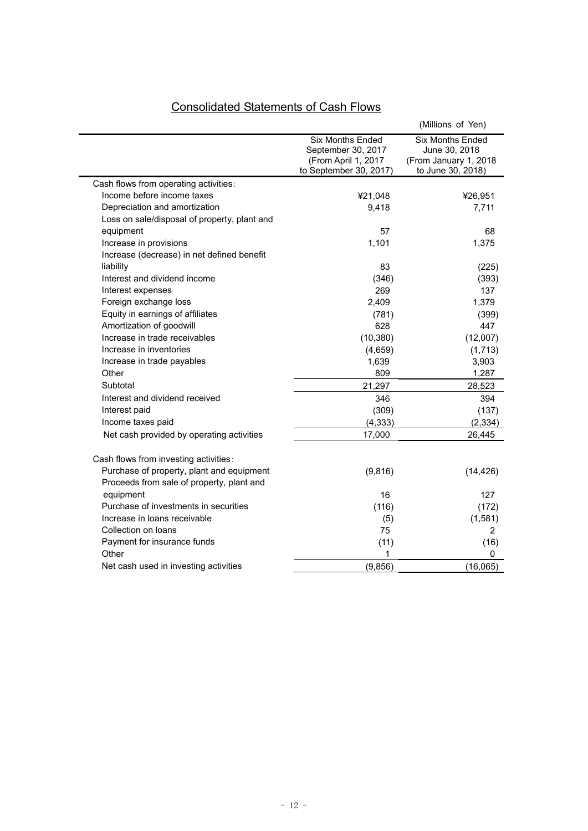|                                                                                        |                                                                                                | (Millions of Yen)                                                                      |
|----------------------------------------------------------------------------------------|------------------------------------------------------------------------------------------------|----------------------------------------------------------------------------------------|
|                                                                                        | <b>Six Months Ended</b><br>September 30, 2017<br>(From April 1, 2017<br>to September 30, 2017) | <b>Six Months Ended</b><br>June 30, 2018<br>(From January 1, 2018<br>to June 30, 2018) |
| Cash flows from operating activities:                                                  |                                                                                                |                                                                                        |
| Income before income taxes                                                             | ¥21,048                                                                                        | ¥26,951                                                                                |
| Depreciation and amortization                                                          | 9,418                                                                                          | 7,711                                                                                  |
| Loss on sale/disposal of property, plant and                                           |                                                                                                |                                                                                        |
| equipment                                                                              | 57                                                                                             | 68                                                                                     |
| Increase in provisions                                                                 | 1,101                                                                                          | 1,375                                                                                  |
| Increase (decrease) in net defined benefit                                             |                                                                                                |                                                                                        |
| liability                                                                              | 83                                                                                             | (225)                                                                                  |
| Interest and dividend income                                                           | (346)                                                                                          | (393)                                                                                  |
| Interest expenses                                                                      | 269                                                                                            | 137                                                                                    |
| Foreign exchange loss                                                                  | 2,409                                                                                          | 1,379                                                                                  |
| Equity in earnings of affiliates                                                       | (781)                                                                                          | (399)                                                                                  |
| Amortization of goodwill                                                               | 628                                                                                            | 447                                                                                    |
| Increase in trade receivables                                                          | (10, 380)                                                                                      | (12,007)                                                                               |
| Increase in inventories                                                                | (4,659)                                                                                        | (1,713)                                                                                |
| Increase in trade payables                                                             | 1,639                                                                                          | 3,903                                                                                  |
| Other                                                                                  | 809                                                                                            | 1,287                                                                                  |
| Subtotal                                                                               | 21,297                                                                                         | 28,523                                                                                 |
| Interest and dividend received                                                         | 346                                                                                            | 394                                                                                    |
| Interest paid                                                                          | (309)                                                                                          | (137)                                                                                  |
| Income taxes paid                                                                      | (4, 333)                                                                                       | (2, 334)                                                                               |
| Net cash provided by operating activities                                              | 17,000                                                                                         | 26,445                                                                                 |
| Cash flows from investing activities:                                                  |                                                                                                |                                                                                        |
| Purchase of property, plant and equipment<br>Proceeds from sale of property, plant and | (9,816)                                                                                        | (14, 426)                                                                              |
| equipment                                                                              | 16                                                                                             | 127                                                                                    |
| Purchase of investments in securities                                                  | (116)                                                                                          | (172)                                                                                  |
| Increase in loans receivable                                                           | (5)                                                                                            | (1,581)                                                                                |
| Collection on loans                                                                    | 75                                                                                             | 2                                                                                      |
| Payment for insurance funds                                                            | (11)                                                                                           | (16)                                                                                   |
| Other                                                                                  | 1                                                                                              | 0                                                                                      |
| Net cash used in investing activities                                                  | (9, 856)                                                                                       | (16,065)                                                                               |

# Consolidated Statements of Cash Flows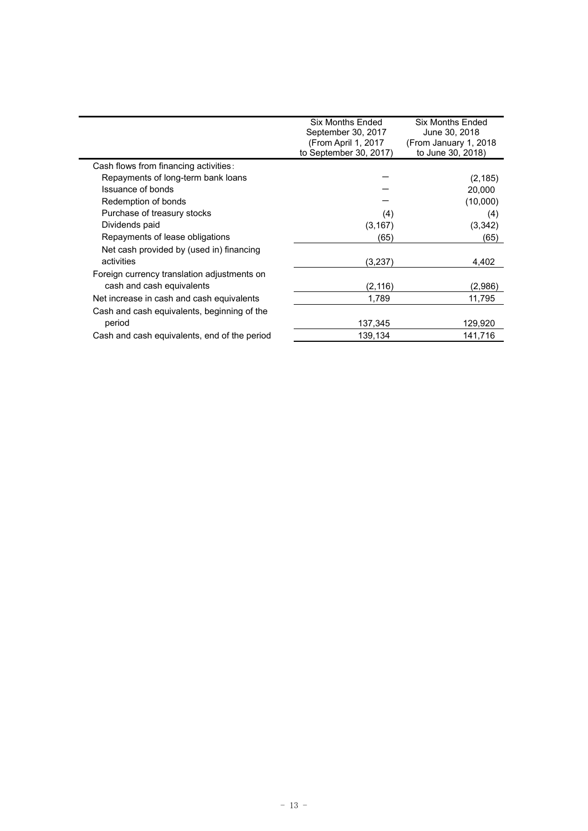|                                              | <b>Six Months Ended</b><br>September 30, 2017<br>(From April 1, 2017<br>to September 30, 2017) | <b>Six Months Ended</b><br>June 30, 2018<br>(From January 1, 2018)<br>to June 30, 2018) |
|----------------------------------------------|------------------------------------------------------------------------------------------------|-----------------------------------------------------------------------------------------|
| Cash flows from financing activities:        |                                                                                                |                                                                                         |
| Repayments of long-term bank loans           |                                                                                                | (2, 185)                                                                                |
| Issuance of bonds                            |                                                                                                | 20,000                                                                                  |
| Redemption of bonds                          |                                                                                                | (10,000)                                                                                |
| Purchase of treasury stocks                  | (4)                                                                                            | (4)                                                                                     |
| Dividends paid                               | (3, 167)                                                                                       | (3, 342)                                                                                |
| Repayments of lease obligations              | (65)                                                                                           | (65)                                                                                    |
| Net cash provided by (used in) financing     |                                                                                                |                                                                                         |
| activities                                   | (3,237)                                                                                        | 4,402                                                                                   |
| Foreign currency translation adjustments on  |                                                                                                |                                                                                         |
| cash and cash equivalents                    | (2, 116)                                                                                       | (2,986)                                                                                 |
| Net increase in cash and cash equivalents    | 1,789                                                                                          | 11,795                                                                                  |
| Cash and cash equivalents, beginning of the  |                                                                                                |                                                                                         |
| period                                       | 137,345                                                                                        | 129,920                                                                                 |
| Cash and cash equivalents, end of the period | 139,134                                                                                        | 141,716                                                                                 |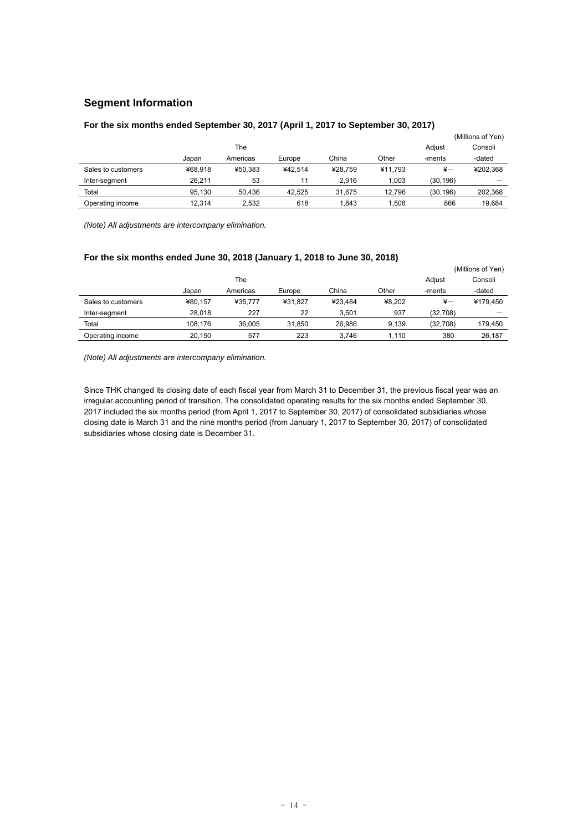# **Segment Information**

|                    |         |          |         |         | (Millions of Yen) |               |          |
|--------------------|---------|----------|---------|---------|-------------------|---------------|----------|
|                    |         | The      |         |         |                   | Adjust        | Consoli  |
|                    | Japan   | Americas | Europe  | China   | Other             | -ments        | -dated   |
| Sales to customers | ¥68.918 | ¥50.383  | ¥42.514 | ¥28.759 | ¥11.793           | $\frac{1}{2}$ | ¥202.368 |
| Inter-segment      | 26.211  | 53       | 11      | 2.916   | 1.003             | (30, 196)     |          |
| Total              | 95.130  | 50.436   | 42.525  | 31.675  | 12.796            | (30, 196)     | 202.368  |
| Operating income   | 12.314  | 2.532    | 618     | 1.843   | . 508             | 866           | 19.684   |

# **For the six months ended September 30, 2017 (April 1, 2017 to September 30, 2017)**

*(Note) All adjustments are intercompany elimination.* 

### **For the six months ended June 30, 2018 (January 1, 2018 to June 30, 2018)**

|                    |         |          |         |         | (Millions of Yen) |               |          |
|--------------------|---------|----------|---------|---------|-------------------|---------------|----------|
|                    |         | The      |         |         |                   | Adjust        | Consoli  |
|                    | Japan   | Americas | Europe  | China   | Other             | -ments        | -dated   |
| Sales to customers | ¥80.157 | ¥35.777  | ¥31.827 | ¥23.484 | ¥8.202            | $\frac{1}{2}$ | ¥179.450 |
| Inter-segment      | 28.018  | 227      | 22      | 3.501   | 937               | (32,708)      |          |
| Total              | 108.176 | 36.005   | 31.850  | 26.986  | 9.139             | (32,708)      | 179.450  |
| Operating income   | 20,150  | 577      | 223     | 3.746   | 1.110             | 380           | 26,187   |

*(Note) All adjustments are intercompany elimination.* 

Since THK changed its closing date of each fiscal year from March 31 to December 31, the previous fiscal year was an irregular accounting period of transition. The consolidated operating results for the six months ended September 30, 2017 included the six months period (from April 1, 2017 to September 30, 2017) of consolidated subsidiaries whose closing date is March 31 and the nine months period (from January 1, 2017 to September 30, 2017) of consolidated subsidiaries whose closing date is December 31.